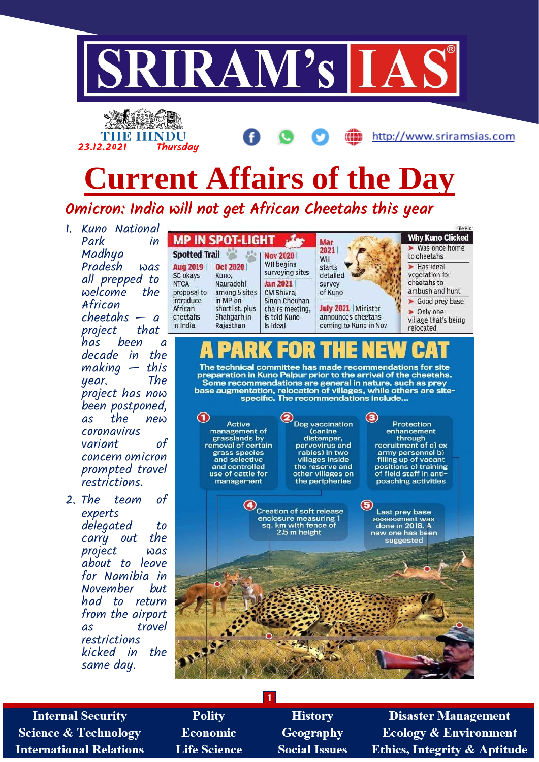





Omicron: India will not get African Cheetahs this year

- 1. Kuno National Park in Madhya Pradesh was all prepped to  $w$ elcome African  $cheetahs - a$ project that<br>has been has been a decade in the making — this year. project has now been postponed, as the new coronavirus variant of concern omicron prompted travel restrictions.
- 2. The team of experts delegated to carry out the project was about to leave for Namibia in November but had to return from the airport as travel restrictions kicked in the same day.

|                                                     | <b>MP IN SPOT-LIGHT</b>                                 |                                                              | Mar                                               |
|-----------------------------------------------------|---------------------------------------------------------|--------------------------------------------------------------|---------------------------------------------------|
| <b>Spotted Trail</b><br><b>Aug 2019</b><br>SC okays | <b>Oct 2020</b><br>Kuno.                                | <b>Nov 2020</b><br>WII begins<br>surveying sites             | 2021<br>WII<br>starts<br>detailed                 |
| <b>NTCA</b><br>proposal to                          | Nauradehi<br>among 5 sites                              | <b>Jan 2021</b><br><b>CM Shivrai</b>                         | survey<br>of Kuno                                 |
| introduce<br>African<br>cheetahs<br>in India        | in MP on<br>shortlist, plus<br>Shahqarh in<br>Raiasthan | Singh Chouhan<br>chairs meeting,<br>is told Kuno<br>is ideal | <b>July 2021   </b><br>announces c<br>coming to K |



Minister heetahs **Ing in Nov**  **Why Kuno Clicked** Was once home to cheetahs  $Has ideal$ vegetation for cheetahs to ambush and hunt Good prey base

http://www.sriramsias.com

> Only one village that's being relocated

The technical committee has made recommendations for site preparation in Kuno Palpur prior to the arrival of the cheetahs. Some recommendations are general in nature, such as prey<br>base augmentation, relocation of villages, while others are sitespecific. The recommendations include...



**Internal Security Science & Technology International Relations** 

**Polity Economic Life Science** 

**History** Geography **Social Issues** 

**1**

**Disaster Management Ecology & Environment Ethics, Integrity & Aptitude**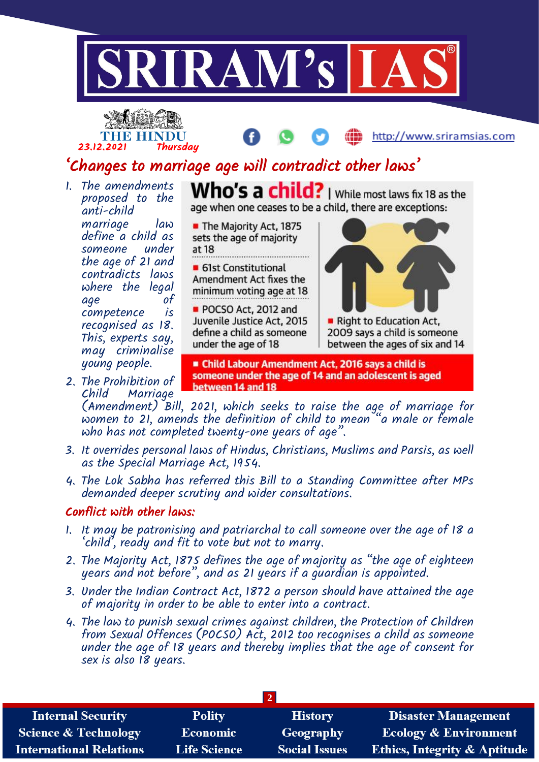





# 'Changes to marriage age will contradict other laws'

1. The amendments proposed to the anti-child marriage law define a child as someone under the age of 21 and contradicts laws where the legal age competence is recognised as 18. This, experts say, may criminalise young people.

2. The Prohibition of

Who's a child? | While most laws fix 18 as the age when one ceases to be a child, there are exceptions:

The Majority Act, 1875 sets the age of majority at 18 • 61st Constitutional Amendment Act fixes the minimum voting age at 18 POCSO Act, 2012 and

Juvenile Justice Act, 2015 define a child as someone under the age of 18



Right to Education Act, 2009 says a child is someone between the ages of six and 14

Child Labour Amendment Act, 2016 says a child is someone under the age of 14 and an adolescent is aged between 14 and 18

Marriage (Amendment) Bill, 2021, which seeks to raise the age of marriage for women to 21, amends the definition of child to mean "a male or female who has not completed twenty-one years of age".

- 3. It overrides personal laws of Hindus, Christians, Muslims and Parsis, as well as the Special Marriage Act, 1954.
- 4. The Lok Sabha has referred this Bill to a Standing Committee after MPs demanded deeper scrutiny and wider consultations.

#### Conflict with other laws:

- 1. It may be patronising and patriarchal to call someone over the age of 18 a 'child', ready and fit to vote but not to marry.
- 2. The Majority Act, 1875 defines the age of majority as "the age of eighteen years and not before", and as 21 years if a guardian is appointed.
- 3. Under the Indian Contract Act, 1872 a person should have attained the age of majority in order to be able to enter into a contract.
- 4. The law to punish sexual crimes against children, the Protection of Children from Sexual Offences (POCSO) Act, 2012 too recognises a child as someone under the age of 18 years and thereby implies that the age of consent for sex is also 18 years.

| <b>Internal Security</b>        | <b>Polity</b>       | <b>History</b>       | <b>Disaster Management</b>              |
|---------------------------------|---------------------|----------------------|-----------------------------------------|
| <b>Science &amp; Technology</b> | Economic            | Geography            | <b>Ecology &amp; Environment</b>        |
| <b>International Relations</b>  | <b>Life Science</b> | <b>Social Issues</b> | <b>Ethics, Integrity &amp; Aptitude</b> |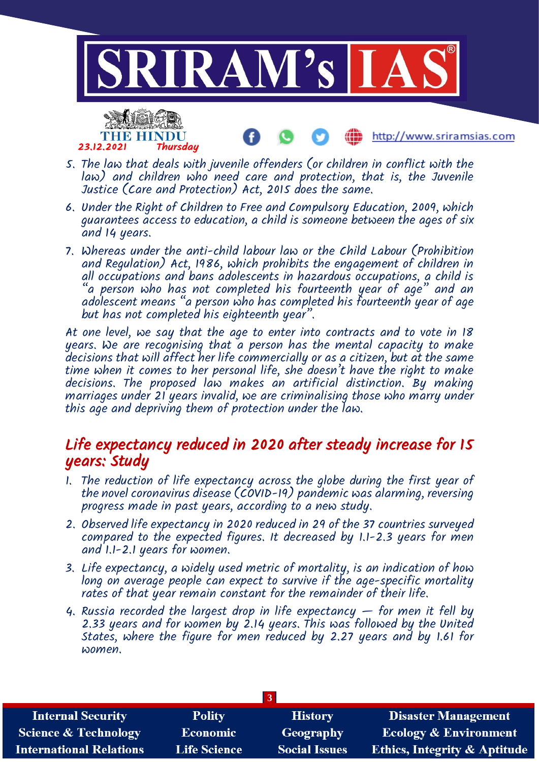

http://www.sriramsias.com



5. The law that deals with juvenile offenders (or children in conflict with the law) and children who need care and protection, that is, the Juvenile Justice (Care and Protection) Act, 2015 does the same.

- 6. Under the Right of Children to Free and Compulsory Education, 2009, which guarantees access to education, a child is someone between the ages of six and 14 years.
- 7. Whereas under the anti-child labour law or the Child Labour (Prohibition and Regulation) Act, 1986, which prohibits the engagement of children in all occupations and bans adolescents in hazardous occupations, a child is "a person who has not completed his fourteenth year of age" and an adolescent means "a person who has completed his fourteenth year of age but has not completed his eighteenth year".

At one level, we say that the age to enter into contracts and to vote in 18 years. We are recognising that a person has the mental capacity to make decisions that will affect her life commercially or as a citizen, but at the same time when it comes to her personal life, she doesn't have the right to make decisions. The proposed law makes an artificial distinction. By making marriages under 21 years invalid, we are criminalising those who marry under this age and depriving them of protection under the law.

## Life expectancy reduced in 2020 after steady increase for 15 years: Study

- 1. The reduction of life expectancy across the globe during the first year of the novel coronavirus disease (COVID-19) pandemic was alarming, reversing progress made in past years, according to a new study.
- 2. Observed life expectancy in 2020 reduced in 29 of the 37 countries surveyed compared to the expected figures. It decreased by 1.1-2.3 years for men and 1.1-2.1 years for women.
- 3. Life expectancy, a widely used metric of mortality, is an indication of how long on average people can expect to survive if the age-specific mortality rates of that year remain constant for the remainder of their life.
- 4. Russia recorded the largest drop in life expectancy  $-$  for men it fell by 2.33 years and for women by 2.14 years. This was followed by the United States, where the figure for men reduced by 2.27 years and by 1.61 for women.

| <b>Internal Security</b>        | <b>Polity</b>       | <b>History</b>       | <b>Disaster Management</b>              |
|---------------------------------|---------------------|----------------------|-----------------------------------------|
| <b>Science &amp; Technology</b> | Economic            | <b>Geography</b>     | <b>Ecology &amp; Environment</b>        |
| <b>International Relations</b>  | <b>Life Science</b> | <b>Social Issues</b> | <b>Ethics, Integrity &amp; Aptitude</b> |